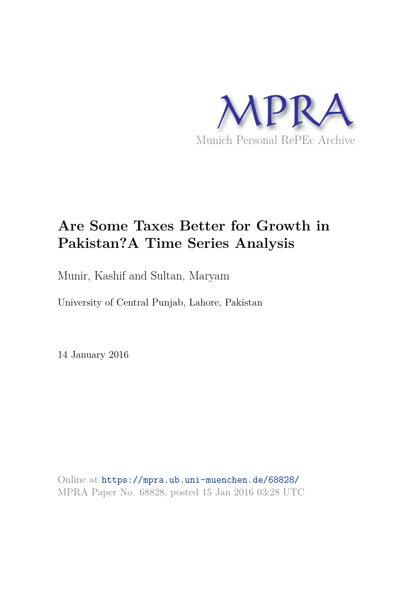

# **Are Some Taxes Better for Growth in Pakistan?A Time Series Analysis**

Munir, Kashif and Sultan, Maryam

University of Central Punjab, Lahore, Pakistan

14 January 2016

Online at https://mpra.ub.uni-muenchen.de/68828/ MPRA Paper No. 68828, posted 15 Jan 2016 03:28 UTC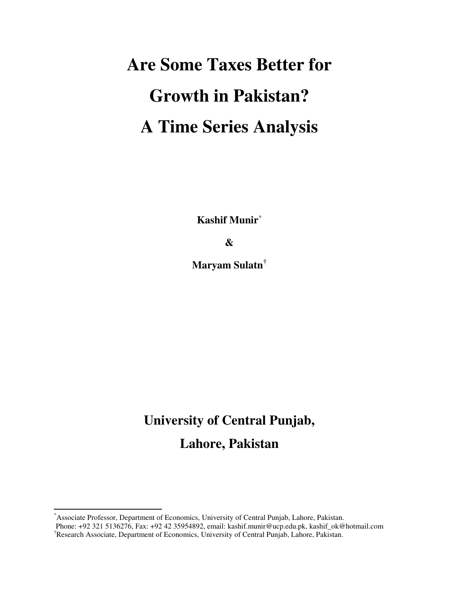# **Are Some Taxes Better for Growth in Pakistan? A Time Series Analysis**

**Kashif Munir**[\\*](#page-1-0)

**&** 

**Maryam Sulatn[†](#page-1-1)**

# **University of Central Punjab, Lahore, Pakistan**

 $\overline{a}$ 

<span id="page-1-0"></span><sup>\*</sup>Associate Professor, Department of Economics, University of Central Punjab, Lahore, Pakistan.

<span id="page-1-1"></span>Phone: +92 321 5136276, Fax: +92 42 35954892, email: kashif.munir@ucp.edu.pk, kashif\_ok@hotmail.com †Research Associate, Department of Economics, University of Central Punjab, Lahore, Pakistan.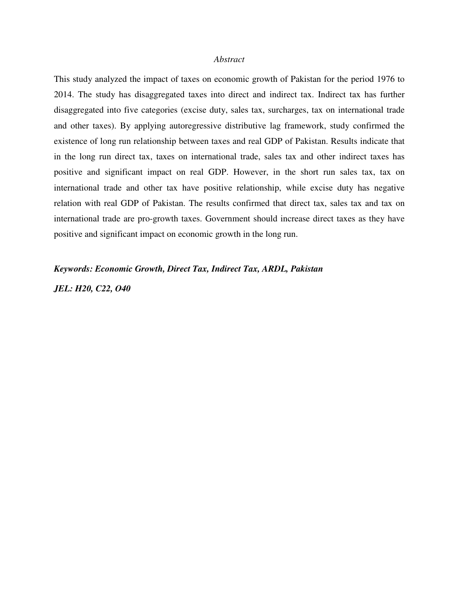#### *Abstract*

This study analyzed the impact of taxes on economic growth of Pakistan for the period 1976 to 2014. The study has disaggregated taxes into direct and indirect tax. Indirect tax has further disaggregated into five categories (excise duty, sales tax, surcharges, tax on international trade and other taxes). By applying autoregressive distributive lag framework, study confirmed the existence of long run relationship between taxes and real GDP of Pakistan. Results indicate that in the long run direct tax, taxes on international trade, sales tax and other indirect taxes has positive and significant impact on real GDP. However, in the short run sales tax, tax on international trade and other tax have positive relationship, while excise duty has negative relation with real GDP of Pakistan. The results confirmed that direct tax, sales tax and tax on international trade are pro-growth taxes. Government should increase direct taxes as they have positive and significant impact on economic growth in the long run.

## *Keywords: Economic Growth, Direct Tax, Indirect Tax, ARDL, Pakistan*

*JEL: H20, C22, O40*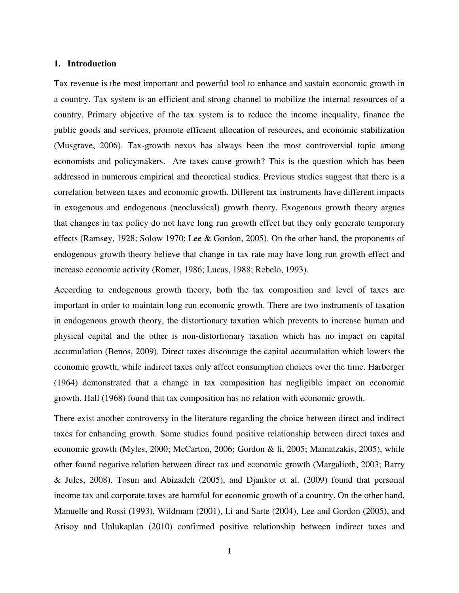## **1. Introduction**

Tax revenue is the most important and powerful tool to enhance and sustain economic growth in a country. Tax system is an efficient and strong channel to mobilize the internal resources of a country. Primary objective of the tax system is to reduce the income inequality, finance the public goods and services, promote efficient allocation of resources, and economic stabilization (Musgrave, 2006). Tax-growth nexus has always been the most controversial topic among economists and policymakers. Are taxes cause growth? This is the question which has been addressed in numerous empirical and theoretical studies. Previous studies suggest that there is a correlation between taxes and economic growth. Different tax instruments have different impacts in exogenous and endogenous (neoclassical) growth theory. Exogenous growth theory argues that changes in tax policy do not have long run growth effect but they only generate temporary effects (Ramsey, 1928; Solow 1970; Lee & Gordon, 2005). On the other hand, the proponents of endogenous growth theory believe that change in tax rate may have long run growth effect and increase economic activity (Romer, 1986; Lucas, 1988; Rebelo, 1993).

According to endogenous growth theory, both the tax composition and level of taxes are important in order to maintain long run economic growth. There are two instruments of taxation in endogenous growth theory, the distortionary taxation which prevents to increase human and physical capital and the other is non-distortionary taxation which has no impact on capital accumulation (Benos, 2009). Direct taxes discourage the capital accumulation which lowers the economic growth, while indirect taxes only affect consumption choices over the time. Harberger (1964) demonstrated that a change in tax composition has negligible impact on economic growth. Hall (1968) found that tax composition has no relation with economic growth.

There exist another controversy in the literature regarding the choice between direct and indirect taxes for enhancing growth. Some studies found positive relationship between direct taxes and economic growth (Myles, 2000; McCarton, 2006; Gordon & li, 2005; Mamatzakis, 2005), while other found negative relation between direct tax and economic growth (Margalioth, 2003; Barry & Jules, 2008). Tosun and Abizadeh (2005), and Djankor et al. (2009) found that personal income tax and corporate taxes are harmful for economic growth of a country. On the other hand, Manuelle and Rossi (1993), Wildmam (2001), Li and Sarte (2004), Lee and Gordon (2005), and Arisoy and Unlukaplan (2010) confirmed positive relationship between indirect taxes and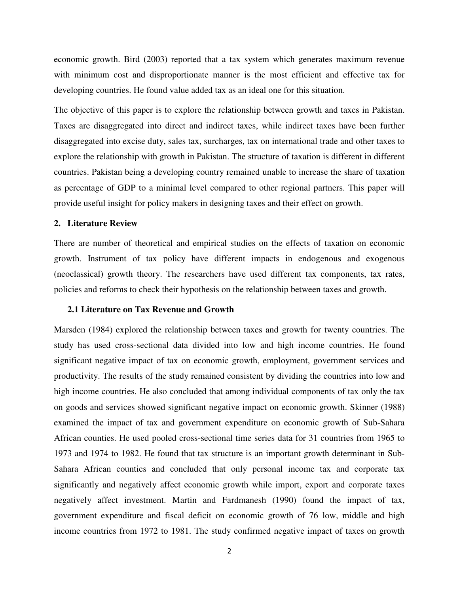economic growth. Bird (2003) reported that a tax system which generates maximum revenue with minimum cost and disproportionate manner is the most efficient and effective tax for developing countries. He found value added tax as an ideal one for this situation.

The objective of this paper is to explore the relationship between growth and taxes in Pakistan. Taxes are disaggregated into direct and indirect taxes, while indirect taxes have been further disaggregated into excise duty, sales tax, surcharges, tax on international trade and other taxes to explore the relationship with growth in Pakistan. The structure of taxation is different in different countries. Pakistan being a developing country remained unable to increase the share of taxation as percentage of GDP to a minimal level compared to other regional partners. This paper will provide useful insight for policy makers in designing taxes and their effect on growth.

## **2. Literature Review**

There are number of theoretical and empirical studies on the effects of taxation on economic growth. Instrument of tax policy have different impacts in endogenous and exogenous (neoclassical) growth theory. The researchers have used different tax components, tax rates, policies and reforms to check their hypothesis on the relationship between taxes and growth.

## **2.1 Literature on Tax Revenue and Growth**

Marsden (1984) explored the relationship between taxes and growth for twenty countries. The study has used cross-sectional data divided into low and high income countries. He found significant negative impact of tax on economic growth, employment, government services and productivity. The results of the study remained consistent by dividing the countries into low and high income countries. He also concluded that among individual components of tax only the tax on goods and services showed significant negative impact on economic growth. Skinner (1988) examined the impact of tax and government expenditure on economic growth of Sub-Sahara African counties. He used pooled cross-sectional time series data for 31 countries from 1965 to 1973 and 1974 to 1982. He found that tax structure is an important growth determinant in Sub-Sahara African counties and concluded that only personal income tax and corporate tax significantly and negatively affect economic growth while import, export and corporate taxes negatively affect investment. Martin and Fardmanesh (1990) found the impact of tax, government expenditure and fiscal deficit on economic growth of 76 low, middle and high income countries from 1972 to 1981. The study confirmed negative impact of taxes on growth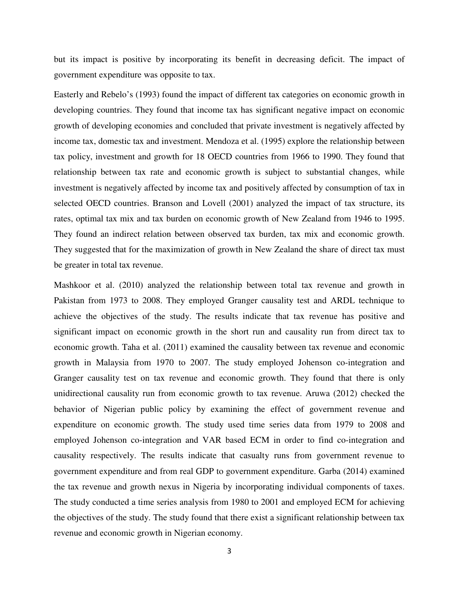but its impact is positive by incorporating its benefit in decreasing deficit. The impact of government expenditure was opposite to tax.

Easterly and Rebelo's (1993) found the impact of different tax categories on economic growth in developing countries. They found that income tax has significant negative impact on economic growth of developing economies and concluded that private investment is negatively affected by income tax, domestic tax and investment. Mendoza et al. (1995) explore the relationship between tax policy, investment and growth for 18 OECD countries from 1966 to 1990. They found that relationship between tax rate and economic growth is subject to substantial changes, while investment is negatively affected by income tax and positively affected by consumption of tax in selected OECD countries. Branson and Lovell (2001) analyzed the impact of tax structure, its rates, optimal tax mix and tax burden on economic growth of New Zealand from 1946 to 1995. They found an indirect relation between observed tax burden, tax mix and economic growth. They suggested that for the maximization of growth in New Zealand the share of direct tax must be greater in total tax revenue.

Mashkoor et al. (2010) analyzed the relationship between total tax revenue and growth in Pakistan from 1973 to 2008. They employed Granger causality test and ARDL technique to achieve the objectives of the study. The results indicate that tax revenue has positive and significant impact on economic growth in the short run and causality run from direct tax to economic growth. Taha et al. (2011) examined the causality between tax revenue and economic growth in Malaysia from 1970 to 2007. The study employed Johenson co-integration and Granger causality test on tax revenue and economic growth. They found that there is only unidirectional causality run from economic growth to tax revenue. Aruwa (2012) checked the behavior of Nigerian public policy by examining the effect of government revenue and expenditure on economic growth. The study used time series data from 1979 to 2008 and employed Johenson co-integration and VAR based ECM in order to find co-integration and causality respectively. The results indicate that casualty runs from government revenue to government expenditure and from real GDP to government expenditure. Garba (2014) examined the tax revenue and growth nexus in Nigeria by incorporating individual components of taxes. The study conducted a time series analysis from 1980 to 2001 and employed ECM for achieving the objectives of the study. The study found that there exist a significant relationship between tax revenue and economic growth in Nigerian economy.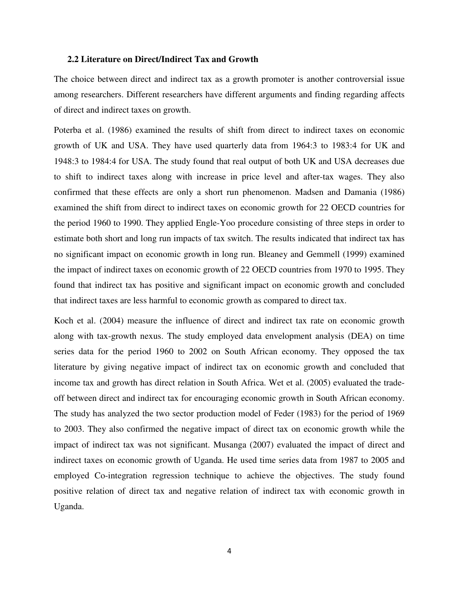## **2.2 Literature on Direct/Indirect Tax and Growth**

The choice between direct and indirect tax as a growth promoter is another controversial issue among researchers. Different researchers have different arguments and finding regarding affects of direct and indirect taxes on growth.

Poterba et al. (1986) examined the results of shift from direct to indirect taxes on economic growth of UK and USA. They have used quarterly data from 1964:3 to 1983:4 for UK and 1948:3 to 1984:4 for USA. The study found that real output of both UK and USA decreases due to shift to indirect taxes along with increase in price level and after-tax wages. They also confirmed that these effects are only a short run phenomenon. Madsen and Damania (1986) examined the shift from direct to indirect taxes on economic growth for 22 OECD countries for the period 1960 to 1990. They applied Engle-Yoo procedure consisting of three steps in order to estimate both short and long run impacts of tax switch. The results indicated that indirect tax has no significant impact on economic growth in long run. Bleaney and Gemmell (1999) examined the impact of indirect taxes on economic growth of 22 OECD countries from 1970 to 1995. They found that indirect tax has positive and significant impact on economic growth and concluded that indirect taxes are less harmful to economic growth as compared to direct tax.

Koch et al. (2004) measure the influence of direct and indirect tax rate on economic growth along with tax-growth nexus. The study employed data envelopment analysis (DEA) on time series data for the period 1960 to 2002 on South African economy. They opposed the tax literature by giving negative impact of indirect tax on economic growth and concluded that income tax and growth has direct relation in South Africa. Wet et al. (2005) evaluated the tradeoff between direct and indirect tax for encouraging economic growth in South African economy. The study has analyzed the two sector production model of Feder (1983) for the period of 1969 to 2003. They also confirmed the negative impact of direct tax on economic growth while the impact of indirect tax was not significant. Musanga (2007) evaluated the impact of direct and indirect taxes on economic growth of Uganda. He used time series data from 1987 to 2005 and employed Co-integration regression technique to achieve the objectives. The study found positive relation of direct tax and negative relation of indirect tax with economic growth in Uganda.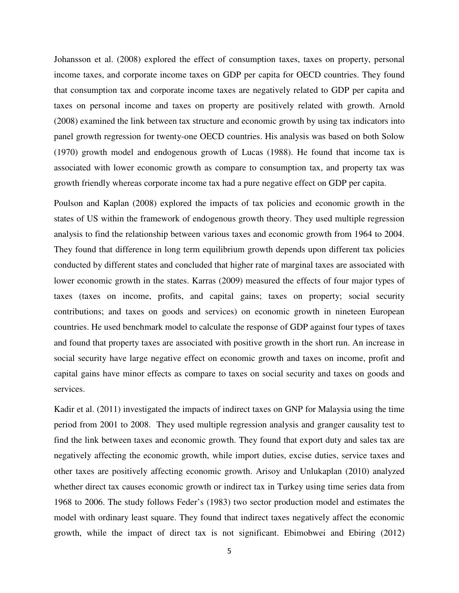Johansson et al. (2008) explored the effect of consumption taxes, taxes on property, personal income taxes, and corporate income taxes on GDP per capita for OECD countries. They found that consumption tax and corporate income taxes are negatively related to GDP per capita and taxes on personal income and taxes on property are positively related with growth. Arnold (2008) examined the link between tax structure and economic growth by using tax indicators into panel growth regression for twenty-one OECD countries. His analysis was based on both Solow (1970) growth model and endogenous growth of Lucas (1988). He found that income tax is associated with lower economic growth as compare to consumption tax, and property tax was growth friendly whereas corporate income tax had a pure negative effect on GDP per capita.

Poulson and Kaplan (2008) explored the impacts of tax policies and economic growth in the states of US within the framework of endogenous growth theory. They used multiple regression analysis to find the relationship between various taxes and economic growth from 1964 to 2004. They found that difference in long term equilibrium growth depends upon different tax policies conducted by different states and concluded that higher rate of marginal taxes are associated with lower economic growth in the states. Karras (2009) measured the effects of four major types of taxes (taxes on income, profits, and capital gains; taxes on property; social security contributions; and taxes on goods and services) on economic growth in nineteen European countries. He used benchmark model to calculate the response of GDP against four types of taxes and found that property taxes are associated with positive growth in the short run. An increase in social security have large negative effect on economic growth and taxes on income, profit and capital gains have minor effects as compare to taxes on social security and taxes on goods and services.

Kadir et al. (2011) investigated the impacts of indirect taxes on GNP for Malaysia using the time period from 2001 to 2008. They used multiple regression analysis and granger causality test to find the link between taxes and economic growth. They found that export duty and sales tax are negatively affecting the economic growth, while import duties, excise duties, service taxes and other taxes are positively affecting economic growth. Arisoy and Unlukaplan (2010) analyzed whether direct tax causes economic growth or indirect tax in Turkey using time series data from 1968 to 2006. The study follows Feder's (1983) two sector production model and estimates the model with ordinary least square. They found that indirect taxes negatively affect the economic growth, while the impact of direct tax is not significant. Ebimobwei and Ebiring (2012)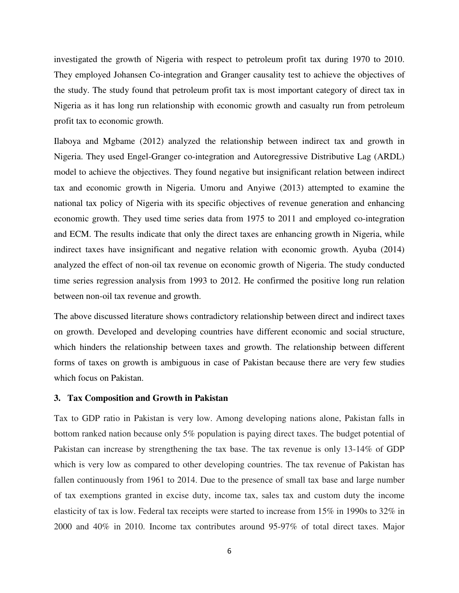investigated the growth of Nigeria with respect to petroleum profit tax during 1970 to 2010. They employed Johansen Co-integration and Granger causality test to achieve the objectives of the study. The study found that petroleum profit tax is most important category of direct tax in Nigeria as it has long run relationship with economic growth and casualty run from petroleum profit tax to economic growth.

Ilaboya and Mgbame (2012) analyzed the relationship between indirect tax and growth in Nigeria. They used Engel-Granger co-integration and Autoregressive Distributive Lag (ARDL) model to achieve the objectives. They found negative but insignificant relation between indirect tax and economic growth in Nigeria. Umoru and Anyiwe (2013) attempted to examine the national tax policy of Nigeria with its specific objectives of revenue generation and enhancing economic growth. They used time series data from 1975 to 2011 and employed co-integration and ECM. The results indicate that only the direct taxes are enhancing growth in Nigeria, while indirect taxes have insignificant and negative relation with economic growth. Ayuba (2014) analyzed the effect of non-oil tax revenue on economic growth of Nigeria. The study conducted time series regression analysis from 1993 to 2012. He confirmed the positive long run relation between non-oil tax revenue and growth.

The above discussed literature shows contradictory relationship between direct and indirect taxes on growth. Developed and developing countries have different economic and social structure, which hinders the relationship between taxes and growth. The relationship between different forms of taxes on growth is ambiguous in case of Pakistan because there are very few studies which focus on Pakistan.

#### **3. Tax Composition and Growth in Pakistan**

Tax to GDP ratio in Pakistan is very low. Among developing nations alone, Pakistan falls in bottom ranked nation because only 5% population is paying direct taxes. The budget potential of Pakistan can increase by strengthening the tax base. The tax revenue is only 13-14% of GDP which is very low as compared to other developing countries. The tax revenue of Pakistan has fallen continuously from 1961 to 2014. Due to the presence of small tax base and large number of tax exemptions granted in excise duty, income tax, sales tax and custom duty the income elasticity of tax is low. Federal tax receipts were started to increase from 15% in 1990s to 32% in 2000 and 40% in 2010. Income tax contributes around 95-97% of total direct taxes. Major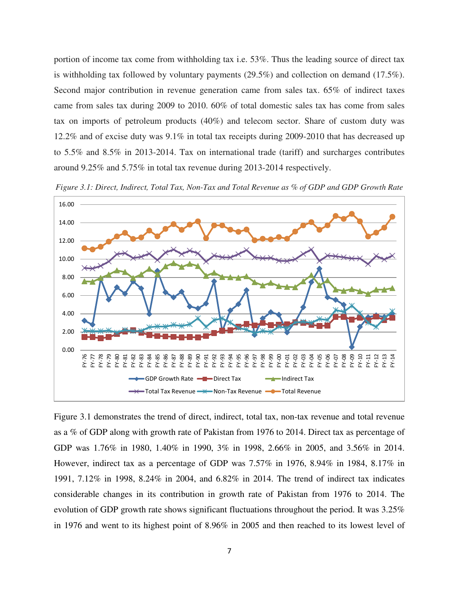portion of income tax come from withholding tax i.e. 53%. Thus the leading source of direct tax is withholding tax followed by voluntary payments (29.5%) and collection on demand (17.5%). Second major contribution in revenue generation came from sales tax. 65% of indirect taxes came from sales tax during 2009 to 2010. 60% of total domestic sales tax has come from sales tax on imports of petroleum products (40%) and telecom sector. Share of custom duty was 12.2% and of excise duty was 9.1% in total tax receipts during 2009-2010 that has decreased up to 5.5% and 8.5% in 2013-2014. Tax on international trade (tariff) and surcharges contributes around 9.25% and 5.75% in total tax revenue during 2013-2014 respectively.



*Figure 3.1: Direct, Indirect, Total Tax, Non-Tax and Total Revenue as % of GDP and GDP Growth Rate* 

Figure 3.1 demonstrates the trend of direct, indirect, total tax, non-tax revenue and total revenue as a % of GDP along with growth rate of Pakistan from 1976 to 2014. Direct tax as percentage of GDP was 1.76% in 1980, 1.40% in 1990, 3% in 1998, 2.66% in 2005, and 3.56% in 2014. However, indirect tax as a percentage of GDP was 7.57% in 1976, 8.94% in 1984, 8.17% in 1991, 7.12% in 1998, 8.24% in 2004, and 6.82% in 2014. The trend of indirect tax indicates considerable changes in its contribution in growth rate of Pakistan from 1976 to 2014. The evolution of GDP growth rate shows significant fluctuations throughout the period. It was 3.25% in 1976 and went to its highest point of 8.96% in 2005 and then reached to its lowest level of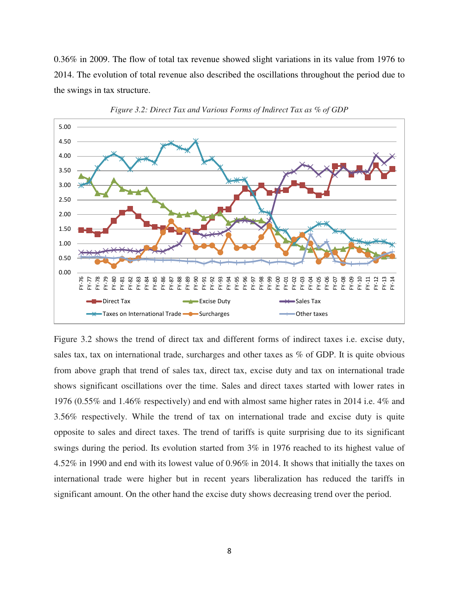0.36% in 2009. The flow of total tax revenue showed slight variations in its value from 1976 to 2014. The evolution of total revenue also described the oscillations throughout the period due to the swings in tax structure.





Figure 3.2 shows the trend of direct tax and different forms of indirect taxes i.e. excise duty, sales tax, tax on international trade, surcharges and other taxes as % of GDP. It is quite obvious from above graph that trend of sales tax, direct tax, excise duty and tax on international trade shows significant oscillations over the time. Sales and direct taxes started with lower rates in 1976 (0.55% and 1.46% respectively) and end with almost same higher rates in 2014 i.e. 4% and 3.56% respectively. While the trend of tax on international trade and excise duty is quite opposite to sales and direct taxes. The trend of tariffs is quite surprising due to its significant swings during the period. Its evolution started from 3% in 1976 reached to its highest value of 4.52% in 1990 and end with its lowest value of 0.96% in 2014. It shows that initially the taxes on international trade were higher but in recent years liberalization has reduced the tariffs in significant amount. On the other hand the excise duty shows decreasing trend over the period.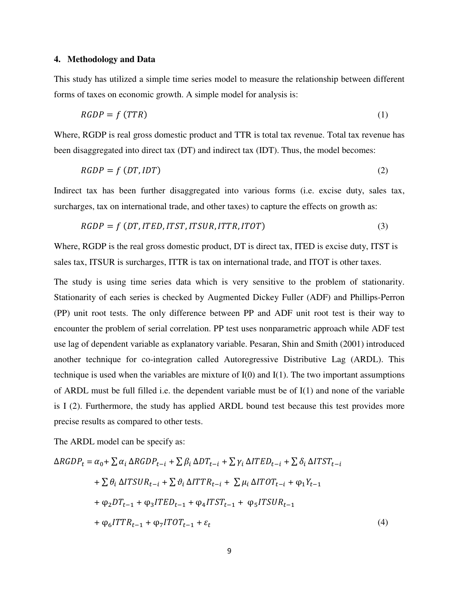#### **4. Methodology and Data**

This study has utilized a simple time series model to measure the relationship between different forms of taxes on economic growth. A simple model for analysis is:

$$
RGDP = f(TTR) \tag{1}
$$

Where, RGDP is real gross domestic product and TTR is total tax revenue. Total tax revenue has been disaggregated into direct tax (DT) and indirect tax (IDT). Thus, the model becomes:

$$
RGDP = f(DT, IDT) \tag{2}
$$

Indirect tax has been further disaggregated into various forms (i.e. excise duty, sales tax, surcharges, tax on international trade, and other taxes) to capture the effects on growth as:

$$
RGDP = f(DT, ITED, ITST, ITSUR, ITTR, ITOT)
$$
\n(3)

Where, RGDP is the real gross domestic product, DT is direct tax, ITED is excise duty, ITST is sales tax, ITSUR is surcharges, ITTR is tax on international trade, and ITOT is other taxes.

The study is using time series data which is very sensitive to the problem of stationarity. Stationarity of each series is checked by Augmented Dickey Fuller (ADF) and Phillips-Perron (PP) unit root tests. The only difference between PP and ADF unit root test is their way to encounter the problem of serial correlation. PP test uses nonparametric approach while ADF test use lag of dependent variable as explanatory variable. Pesaran, Shin and Smith (2001) introduced another technique for co-integration called Autoregressive Distributive Lag (ARDL). This technique is used when the variables are mixture of I(0) and I(1). The two important assumptions of ARDL must be full filled i.e. the dependent variable must be of I(1) and none of the variable is I (2). Furthermore, the study has applied ARDL bound test because this test provides more precise results as compared to other tests.

The ARDL model can be specify as:

$$
\Delta RGDP_t = \alpha_0 + \sum \alpha_i \Delta RGDP_{t-i} + \sum \beta_i \Delta DT_{t-i} + \sum \gamma_i \DeltaITED_{t-i} + \sum \delta_i \Delta ITST_{t-i}
$$
  
+ 
$$
\sum \theta_i \Delta ITSUR_{t-i} + \sum \vartheta_i \Delta ITTR_{t-i} + \sum \mu_i \Delta ITOT_{t-i} + \varphi_1 Y_{t-1}
$$
  
+ 
$$
\varphi_2 DT_{t-1} + \varphi_3 ITED_{t-1} + \varphi_4 ITST_{t-1} + \varphi_5 ITSUR_{t-1}
$$
  
+ 
$$
\varphi_6 ITTR_{t-1} + \varphi_7 ITOT_{t-1} + \varepsilon_t
$$
 (4)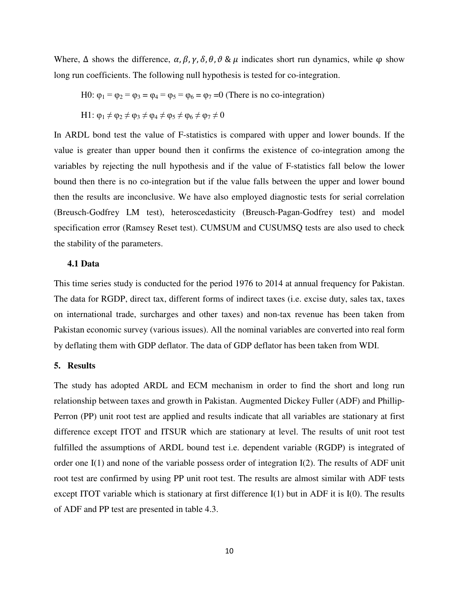Where,  $\Delta$  shows the difference,  $\alpha$ ,  $\beta$ ,  $\gamma$ ,  $\delta$ ,  $\theta$ ,  $\vartheta$  &  $\mu$  indicates short run dynamics, while  $\varphi$  show long run coefficients. The following null hypothesis is tested for co-integration.

H0:  $\varphi_1 = \varphi_2 = \varphi_3 = \varphi_4 = \varphi_5 = \varphi_6 = \varphi_7 = 0$  (There is no co-integration) H1:  $\varphi_1 \neq \varphi_2 \neq \varphi_3 \neq \varphi_4 \neq \varphi_5 \neq \varphi_6 \neq \varphi_7 \neq 0$ 

In ARDL bond test the value of F-statistics is compared with upper and lower bounds. If the value is greater than upper bound then it confirms the existence of co-integration among the variables by rejecting the null hypothesis and if the value of F-statistics fall below the lower bound then there is no co-integration but if the value falls between the upper and lower bound then the results are inconclusive. We have also employed diagnostic tests for serial correlation (Breusch-Godfrey LM test), heteroscedasticity (Breusch-Pagan-Godfrey test) and model specification error (Ramsey Reset test). CUMSUM and CUSUMSQ tests are also used to check the stability of the parameters.

# **4.1 Data**

This time series study is conducted for the period 1976 to 2014 at annual frequency for Pakistan. The data for RGDP, direct tax, different forms of indirect taxes (i.e. excise duty, sales tax, taxes on international trade, surcharges and other taxes) and non-tax revenue has been taken from Pakistan economic survey (various issues). All the nominal variables are converted into real form by deflating them with GDP deflator. The data of GDP deflator has been taken from WDI.

#### **5. Results**

The study has adopted ARDL and ECM mechanism in order to find the short and long run relationship between taxes and growth in Pakistan. Augmented Dickey Fuller (ADF) and Phillip-Perron (PP) unit root test are applied and results indicate that all variables are stationary at first difference except ITOT and ITSUR which are stationary at level. The results of unit root test fulfilled the assumptions of ARDL bound test i.e. dependent variable (RGDP) is integrated of order one  $I(1)$  and none of the variable possess order of integration  $I(2)$ . The results of ADF unit root test are confirmed by using PP unit root test. The results are almost similar with ADF tests except ITOT variable which is stationary at first difference I(1) but in ADF it is I(0). The results of ADF and PP test are presented in table 4.3.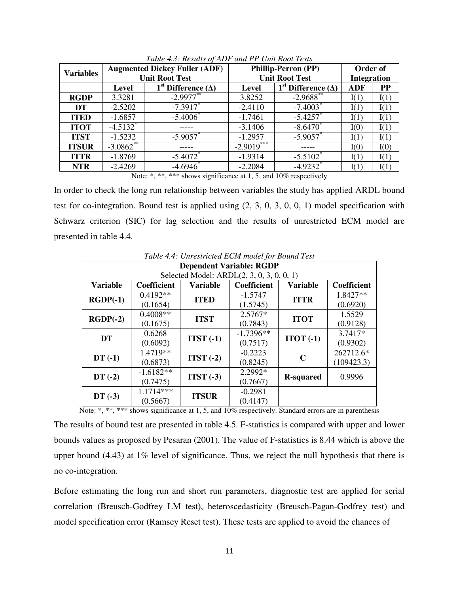| <b>Variables</b> |                        | <b>Augmented Dickey Fuller (ADF)</b>    |                            | <b>Phillip-Perron (PP)</b>              |                    |      |
|------------------|------------------------|-----------------------------------------|----------------------------|-----------------------------------------|--------------------|------|
|                  |                        | <b>Unit Root Test</b>                   |                            | <b>Unit Root Test</b>                   | <b>Integration</b> |      |
|                  | Level                  | 1 <sup>st</sup> Difference ( $\Delta$ ) | Level                      | 1 <sup>st</sup> Difference ( $\Delta$ ) | <b>ADF</b>         | PP   |
| <b>RGDP</b>      | 3.3281                 | $-2.9977***$                            | 3.8252                     | $-2.9688$ **                            | I(1)               | I(1) |
| DT               | $-2.5202$              | $-7.3917$                               | $-2.4110$                  | $-7.4003$ <sup>*</sup>                  | I(1)               | I(1) |
| <b>ITED</b>      | $-1.6857$              | $-5.4006$                               | $-1.7461$                  | $-5.4257$                               | I(1)               | I(1) |
| <b>ITOT</b>      | $-4.5132$ <sup>*</sup> |                                         | $-3.1406$                  | $-8.6470$                               | I(0)               | I(1) |
| <b>ITST</b>      | $-1.5232$              | $-5.9057$                               | $-1.2957$                  | $-5.9057$                               | I(1)               | I(1) |
| <b>ITSUR</b>     | $-3.0862$ **           |                                         | $-2.90\overline{19}^{***}$ |                                         | I(0)               | I(0) |
| <b>ITTR</b>      | $-1.8769$              | $-5.4072$                               | $-1.9314$                  | $-5.5102$ <sup>*</sup>                  | I(1)               | I(1) |
| <b>NTR</b>       | $-2.4269$              | $-4.6946$                               | $-2.2084$                  | $-4.9232$ <sup>*</sup>                  | I(1)               | I(1) |

*Table 4.3: Results of ADF and PP Unit Root Tests*

Note: \*, \*\*, \*\*\* shows significance at 1, 5, and 10% respectively

In order to check the long run relationship between variables the study has applied ARDL bound test for co-integration. Bound test is applied using (2, 3, 0, 3, 0, 0, 1) model specification with Schwarz criterion (SIC) for lag selection and the results of unrestricted ECM model are presented in table 4.4.

| Table 4.4: Unrestricted ECM model for Bound Test |                                 |                 |                                           |                  |             |  |  |
|--------------------------------------------------|---------------------------------|-----------------|-------------------------------------------|------------------|-------------|--|--|
|                                                  | <b>Dependent Variable: RGDP</b> |                 |                                           |                  |             |  |  |
|                                                  |                                 |                 | Selected Model: ARDL(2, 3, 0, 3, 0, 0, 1) |                  |             |  |  |
| <b>Variable</b>                                  | Coefficient                     | <b>Variable</b> | Coefficient                               | <b>Variable</b>  | Coefficient |  |  |
| $RGDP(-1)$                                       | $0.4192**$                      | <b>ITED</b>     | $-1.5747$                                 | <b>ITTR</b>      | 1.8427**    |  |  |
|                                                  | (0.1654)                        |                 | (1.5745)                                  |                  | (0.6920)    |  |  |
|                                                  | $0.4008**$                      | <b>ITST</b>     | 2.5767*                                   | <b>ITOT</b>      | 1.5529      |  |  |
| $RGDP(-2)$                                       | (0.1675)                        |                 | (0.7843)                                  |                  | (0.9128)    |  |  |
| <b>DT</b>                                        | 0.6268                          | $ITST(-1)$      | $-1.7396**$                               | $ITOT(-1)$       | $3.7417*$   |  |  |
|                                                  | (0.6092)                        |                 | (0.7517)                                  |                  | (0.9302)    |  |  |
|                                                  | 1.4719**                        | $ITST(-2)$      | $-0.2223$                                 | $\mathbf C$      | 262712.6*   |  |  |
| $DT(-1)$                                         | (0.6873)                        |                 | (0.8245)                                  |                  | (109423.3)  |  |  |
|                                                  | $-1.6182**$                     |                 | 2.2992*                                   |                  |             |  |  |
| $DT(-2)$                                         | (0.7475)                        | $ITST(-3)$      | (0.7667)                                  | <b>R-squared</b> | 0.9996      |  |  |
|                                                  | 1.1714***                       |                 | $-0.2981$                                 |                  |             |  |  |
| $DT(-3)$                                         | (0.5667)                        | <b>ITSUR</b>    | (0.4147)                                  |                  |             |  |  |

*Table 4.4: Unrestricted ECM model for Bound Test* 

Note: \*, \*\*, \*\*\* shows significance at 1, 5, and 10% respectively. Standard errors are in parenthesis

The results of bound test are presented in table 4.5. F-statistics is compared with upper and lower bounds values as proposed by Pesaran (2001). The value of F-statistics is 8.44 which is above the upper bound (4.43) at 1% level of significance. Thus, we reject the null hypothesis that there is no co-integration.

Before estimating the long run and short run parameters, diagnostic test are applied for serial correlation (Breusch-Godfrey LM test), heteroscedasticity (Breusch-Pagan-Godfrey test) and model specification error (Ramsey Reset test). These tests are applied to avoid the chances of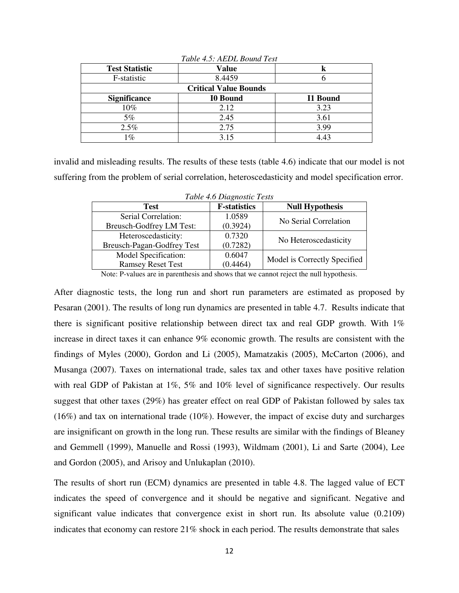| <b>Test Statistic</b> | <b>Value</b>                 |                 |
|-----------------------|------------------------------|-----------------|
| F-statistic           | 8.4459                       |                 |
|                       | <b>Critical Value Bounds</b> |                 |
| <b>Significance</b>   | <b>I0 Bound</b>              | <b>I1 Bound</b> |
| 10%                   | 2.12                         | 3.23            |
| 5%                    | 2.45                         | 3.61            |
| 2.5%                  | 2.75                         | 3.99            |
| 1%                    | 3.15                         | 4.43            |

*Table 4.5: AEDL Bound Test*

invalid and misleading results. The results of these tests (table 4.6) indicate that our model is not suffering from the problem of serial correlation, heteroscedasticity and model specification error.

| Tubic 1.0 Diugnosiic Tesis |                     |                              |  |  |  |  |  |
|----------------------------|---------------------|------------------------------|--|--|--|--|--|
| <b>Test</b>                | <b>F-statistics</b> | <b>Null Hypothesis</b>       |  |  |  |  |  |
| Serial Correlation:        | 1.0589              | No Serial Correlation        |  |  |  |  |  |
| Breusch-Godfrey LM Test:   | (0.3924)            |                              |  |  |  |  |  |
| Heteroscedasticity:        | 0.7320              |                              |  |  |  |  |  |
| Breusch-Pagan-Godfrey Test | (0.7282)            | No Heteroscedasticity        |  |  |  |  |  |
| Model Specification:       | 0.6047              |                              |  |  |  |  |  |
| <b>Ramsey Reset Test</b>   | (0.4464)            | Model is Correctly Specified |  |  |  |  |  |

*Table 4.6 Diagnostic Tests* 

Note: P-values are in parenthesis and shows that we cannot reject the null hypothesis.

After diagnostic tests, the long run and short run parameters are estimated as proposed by Pesaran (2001). The results of long run dynamics are presented in table 4.7. Results indicate that there is significant positive relationship between direct tax and real GDP growth. With 1% increase in direct taxes it can enhance 9% economic growth. The results are consistent with the findings of Myles (2000), Gordon and Li (2005), Mamatzakis (2005), McCarton (2006), and Musanga (2007). Taxes on international trade, sales tax and other taxes have positive relation with real GDP of Pakistan at 1%, 5% and 10% level of significance respectively. Our results suggest that other taxes (29%) has greater effect on real GDP of Pakistan followed by sales tax (16%) and tax on international trade (10%). However, the impact of excise duty and surcharges are insignificant on growth in the long run. These results are similar with the findings of Bleaney and Gemmell (1999), Manuelle and Rossi (1993), Wildmam (2001), Li and Sarte (2004), Lee and Gordon (2005), and Arisoy and Unlukaplan (2010).

The results of short run (ECM) dynamics are presented in table 4.8. The lagged value of ECT indicates the speed of convergence and it should be negative and significant. Negative and significant value indicates that convergence exist in short run. Its absolute value (0.2109) indicates that economy can restore 21% shock in each period. The results demonstrate that sales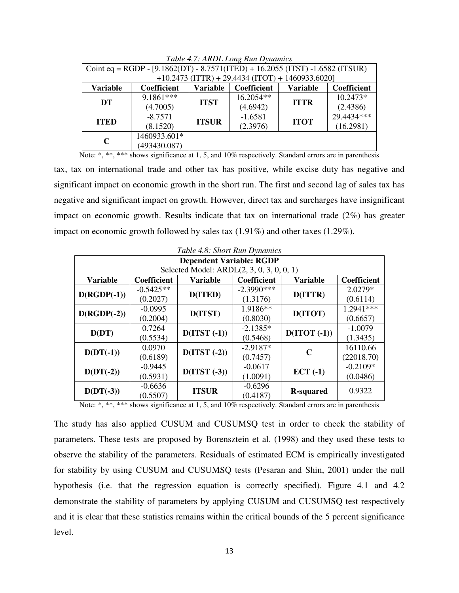| Twee 1.7. Through Long Kan Dynamics |                                                                                 |              |                                                    |             |            |  |  |
|-------------------------------------|---------------------------------------------------------------------------------|--------------|----------------------------------------------------|-------------|------------|--|--|
|                                     | Coint eq = RGDP - $[9.1862(DT) - 8.7571(TTED) + 16.2055(TTST) - 1.6582(TTSUR)]$ |              |                                                    |             |            |  |  |
|                                     |                                                                                 |              | $+10.2473$ (ITTR) + 29.4434 (ITOT) + 1460933.6020] |             |            |  |  |
| <b>Variable</b>                     | <b>Variable</b><br>Coefficient<br><b>Variable</b><br>Coefficient<br>Coefficient |              |                                                    |             |            |  |  |
|                                     | 9.1861***                                                                       | <b>ITST</b>  | 16.2054**                                          | <b>ITTR</b> | 10.2473*   |  |  |
| DT                                  | (4.7005)                                                                        |              | (4.6942)                                           |             | (2.4386)   |  |  |
|                                     | $-8.7571$                                                                       | <b>ITSUR</b> | $-1.6581$                                          | <b>ITOT</b> | 29.4434*** |  |  |
| <b>ITED</b>                         | (8.1520)                                                                        |              | (2.3976)                                           |             | (16.2981)  |  |  |
|                                     | 1460933.601*                                                                    |              |                                                    |             |            |  |  |
| $\mathbf C$                         | (493430.087)                                                                    |              |                                                    |             |            |  |  |

*Table 4.7: ARDL Long Run Dynamics* 

Note: \*, \*\*, \*\*\* shows significance at 1, 5, and 10% respectively. Standard errors are in parenthesis

tax, tax on international trade and other tax has positive, while excise duty has negative and significant impact on economic growth in the short run. The first and second lag of sales tax has negative and significant impact on growth. However, direct tax and surcharges have insignificant impact on economic growth. Results indicate that tax on international trade (2%) has greater impact on economic growth followed by sales tax (1.91%) and other taxes (1.29%).

| Table 4.8: Short Run Dynamics |                                 |                                           |              |                   |             |  |  |
|-------------------------------|---------------------------------|-------------------------------------------|--------------|-------------------|-------------|--|--|
|                               | <b>Dependent Variable: RGDP</b> |                                           |              |                   |             |  |  |
|                               |                                 | Selected Model: ARDL(2, 3, 0, 3, 0, 0, 1) |              |                   |             |  |  |
| <b>Variable</b>               | Coefficient                     | Variable                                  | Coefficient  | <b>Variable</b>   | Coefficient |  |  |
|                               | $-0.5425**$                     |                                           | $-2.3990***$ |                   | $2.0279*$   |  |  |
| $D(RGDP(-1))$                 | (0.2027)                        | D(ITED)                                   | (1.3176)     | D(ITTR)           | (0.6114)    |  |  |
|                               | $-0.0995$                       |                                           | 1.9186**     |                   | 1.2941 ***  |  |  |
| $D(RGDP(-2))$                 | (0.2004)                        | D(ITST)                                   | (0.8030)     | D(ITOT)           | (0.6657)    |  |  |
| D(DT)                         | 0.7264                          | $D(TST(-1))$                              | $-2.1385*$   | $D(TOT(-1))$      | $-1.0079$   |  |  |
|                               | (0.5534)                        |                                           | (0.5468)     |                   | (1.3435)    |  |  |
|                               | 0.0970                          | $D(TST(-2))$                              | $-2.9187*$   | C                 | 16110.66    |  |  |
| $D(DT(-1))$                   | (0.6189)                        |                                           | (0.7457)     |                   | (22018.70)  |  |  |
|                               | $-0.9445$                       | $D(TST(-3))$                              | $-0.0617$    |                   | $-0.2109*$  |  |  |
| $D(DT(-2))$                   | (0.5931)                        |                                           | (1.0091)     | $ECT( -1)$        | (0.0486)    |  |  |
|                               | $-0.6636$                       |                                           | $-0.6296$    |                   | 0.9322      |  |  |
| $D(DT(-3))$                   | (0.5507)                        | <b>ITSUR</b>                              | (0.4187)     | <b>R</b> -squared |             |  |  |

Note: \*, \*\*, \*\*\* shows significance at 1, 5, and 10% respectively. Standard errors are in parenthesis

The study has also applied CUSUM and CUSUMSQ test in order to check the stability of parameters. These tests are proposed by Borensztein et al. (1998) and they used these tests to observe the stability of the parameters. Residuals of estimated ECM is empirically investigated for stability by using CUSUM and CUSUMSQ tests (Pesaran and Shin, 2001) under the null hypothesis (i.e. that the regression equation is correctly specified). Figure 4.1 and 4.2 demonstrate the stability of parameters by applying CUSUM and CUSUMSQ test respectively and it is clear that these statistics remains within the critical bounds of the 5 percent significance level.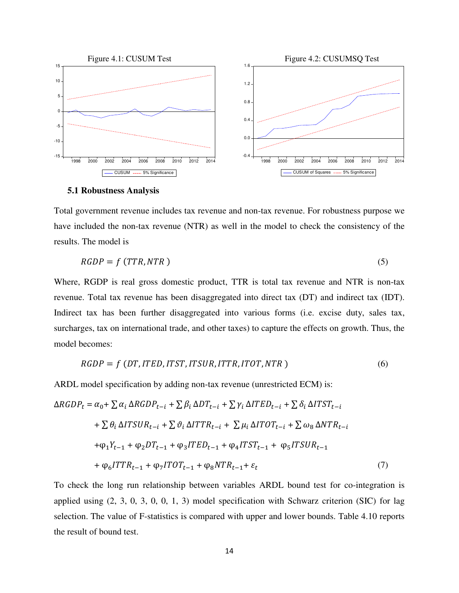

#### **5.1 Robustness Analysis**

Total government revenue includes tax revenue and non-tax revenue. For robustness purpose we have included the non-tax revenue (NTR) as well in the model to check the consistency of the results. The model is

$$
RGDP = f(TTR, NTR) \tag{5}
$$

Where, RGDP is real gross domestic product, TTR is total tax revenue and NTR is non-tax revenue. Total tax revenue has been disaggregated into direct tax (DT) and indirect tax (IDT). Indirect tax has been further disaggregated into various forms (i.e. excise duty, sales tax, surcharges, tax on international trade, and other taxes) to capture the effects on growth. Thus, the model becomes:

$$
RGDP = f(DT, ITED, ITST, ITSUR, ITTR, ITOT, NTR)
$$
\n
$$
(6)
$$

ARDL model specification by adding non-tax revenue (unrestricted ECM) is:

$$
\Delta RGDP_t = \alpha_0 + \sum \alpha_i \Delta RGDP_{t-i} + \sum \beta_i \Delta DT_{t-i} + \sum \gamma_i \DeltaITED_{t-i} + \sum \delta_i \Delta ITST_{t-i}
$$
  
+ 
$$
\sum \theta_i \Delta ITSUR_{t-i} + \sum \vartheta_i \Delta ITTR_{t-i} + \sum \mu_i \Delta ITOT_{t-i} + \sum \omega_8 \Delta NTR_{t-i}
$$
  
+ 
$$
\varphi_1 Y_{t-1} + \varphi_2 DT_{t-1} + \varphi_3ITED_{t-1} + \varphi_4 ITST_{t-1} + \varphi_5 ITSUR_{t-1}
$$
  
+ 
$$
\varphi_6 ITTR_{t-1} + \varphi_7 ITOT_{t-1} + \varphi_8 NTR_{t-1} + \varepsilon_t
$$
 (7)

To check the long run relationship between variables ARDL bound test for co-integration is applied using (2, 3, 0, 3, 0, 0, 1, 3) model specification with Schwarz criterion (SIC) for lag selection. The value of F-statistics is compared with upper and lower bounds. Table 4.10 reports the result of bound test.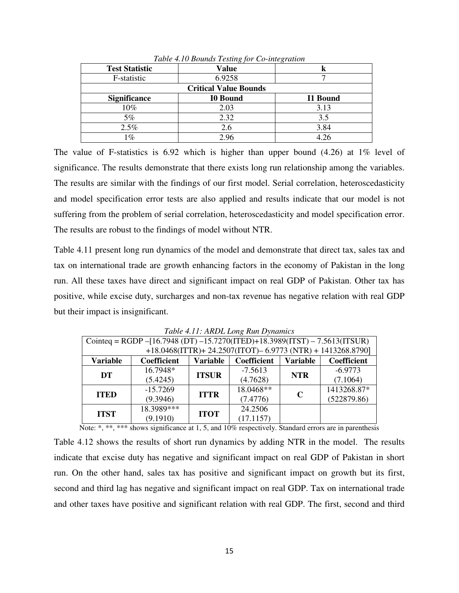| <b>Test Statistic</b> | Value                        | K        |
|-----------------------|------------------------------|----------|
| F-statistic           | 6.9258                       |          |
|                       | <b>Critical Value Bounds</b> |          |
| <b>Significance</b>   | <b>I0 Bound</b>              | I1 Bound |
| 10%                   | 2.03                         | 3.13     |
| 5%                    | 2.32                         | 3.5      |
| 2.5%                  | 2.6                          | 3.84     |
| $\frac{1}{6}$         | 2.96                         | 4.26     |

*Table 4.10 Bounds Testing for Co-integration*

The value of F-statistics is 6.92 which is higher than upper bound (4.26) at 1% level of significance. The results demonstrate that there exists long run relationship among the variables. The results are similar with the findings of our first model. Serial correlation, heteroscedasticity and model specification error tests are also applied and results indicate that our model is not suffering from the problem of serial correlation, heteroscedasticity and model specification error. The results are robust to the findings of model without NTR.

Table 4.11 present long run dynamics of the model and demonstrate that direct tax, sales tax and tax on international trade are growth enhancing factors in the economy of Pakistan in the long run. All these taxes have direct and significant impact on real GDP of Pakistan. Other tax has positive, while excise duty, surcharges and non-tax revenue has negative relation with real GDP but their impact is insignificant.

|                 | Tuble 7.11, ARDL Long Run D mannes                                                     |              |             |             |                                                           |  |  |
|-----------------|----------------------------------------------------------------------------------------|--------------|-------------|-------------|-----------------------------------------------------------|--|--|
|                 | Cointeq = RGDP - [16.7948 (DT) -15.7270(ITED)+18.3989(ITST) - 7.5613(ITSUR)            |              |             |             |                                                           |  |  |
|                 |                                                                                        |              |             |             | +18.0468(ITTR)+24.2507(ITOT)-6.9773 (NTR) + 1413268.8790] |  |  |
| <b>Variable</b> | Coefficient<br><b>Variable</b><br><b>Variable</b><br><b>Coefficient</b><br>Coefficient |              |             |             |                                                           |  |  |
| DT              | 16.7948*                                                                               |              | $-7.5613$   | <b>NTR</b>  | $-6.9773$                                                 |  |  |
|                 | (5.4245)                                                                               | <b>ITSUR</b> | (4.7628)    |             | (7.1064)                                                  |  |  |
|                 | $-15.7269$                                                                             | <b>ITTR</b>  | $18.0468**$ | $\mathbf C$ | 1413268.87*                                               |  |  |
| <b>ITED</b>     | (9.3946)                                                                               |              | (7.4776)    |             | (522879.86)                                               |  |  |
| <b>ITST</b>     | $18.3989***$                                                                           | <b>ITOT</b>  | 24.2506     |             |                                                           |  |  |
|                 | (9.1910)                                                                               |              | (17.1157)   |             |                                                           |  |  |

*Table 4.11: ARDL Long Run Dynamics*

Note: \*, \*\*, \*\*\* shows significance at 1, 5, and 10% respectively. Standard errors are in parenthesis

Table 4.12 shows the results of short run dynamics by adding NTR in the model. The results indicate that excise duty has negative and significant impact on real GDP of Pakistan in short run. On the other hand, sales tax has positive and significant impact on growth but its first, second and third lag has negative and significant impact on real GDP. Tax on international trade and other taxes have positive and significant relation with real GDP. The first, second and third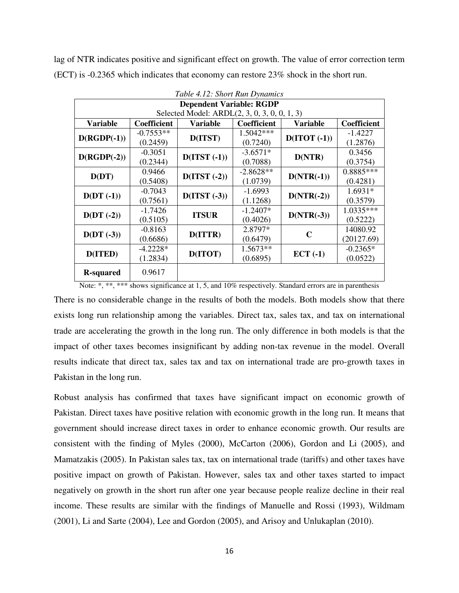lag of NTR indicates positive and significant effect on growth. The value of error correction term (ECT) is -0.2365 which indicates that economy can restore 23% shock in the short run.

| Table 4.12: Short Run Dynamics |                                 |                                              |             |              |             |  |  |
|--------------------------------|---------------------------------|----------------------------------------------|-------------|--------------|-------------|--|--|
|                                | <b>Dependent Variable: RGDP</b> |                                              |             |              |             |  |  |
|                                |                                 | Selected Model: ARDL(2, 3, 0, 3, 0, 0, 1, 3) |             |              |             |  |  |
| Variable                       | <b>Coefficient</b>              | Variable                                     | Coefficient | Variable     | Coefficient |  |  |
|                                | $-0.7553**$                     |                                              | 1.5042***   |              | $-1.4227$   |  |  |
| $D(RGDP(-1))$                  | (0.2459)                        | D(ITST)                                      | (0.7240)    | $D(TOT(-1))$ | (1.2876)    |  |  |
|                                | $-0.3051$                       |                                              | $-3.6571*$  |              | 0.3456      |  |  |
| $D(RGDP(-2))$                  | (0.2344)                        | $D(TST(-1))$<br>$D(TST(-2))$                 | (0.7088)    | D(NTR)       | (0.3754)    |  |  |
|                                | 0.9466                          |                                              | $-2.8628**$ | $D(NTR(-1))$ | 0.8885***   |  |  |
| D(DT)                          | (0.5408)                        |                                              | (1.0739)    |              | (0.4281)    |  |  |
|                                | $-0.7043$                       | $D(TST(-3))$                                 | $-1.6993$   | $D(NTR(-2))$ | $1.6931*$   |  |  |
| $D(DT(-1))$                    | (0.7561)                        |                                              | (1.1268)    |              | (0.3579)    |  |  |
|                                | $-1.7426$                       |                                              | $-1.2407*$  |              | 1.0335***   |  |  |
| $D(DT(-2))$                    | (0.5105)                        | <b>ITSUR</b>                                 | (0.4026)    | $D(NTR(-3))$ | (0.5222)    |  |  |
|                                | $-0.8163$                       |                                              | 2.8797*     | C            | 14080.92    |  |  |
| $D(DT(-3))$                    | (0.6686)                        | D(ITTR)                                      | (0.6479)    |              | (20127.69)  |  |  |
| D(ITED)                        | $-4.2228*$                      |                                              | $1.5673**$  |              | $-0.2365*$  |  |  |
|                                | (1.2834)                        | D(ITOT)                                      | (0.6895)    | $ECT( -1)$   | (0.0522)    |  |  |
| <b>R</b> -squared              | 0.9617                          |                                              |             |              |             |  |  |
|                                |                                 |                                              |             |              |             |  |  |

*Table 4.12: Short Run Dynamics*

Note: \*, \*\*, \*\*\* shows significance at 1, 5, and 10% respectively. Standard errors are in parenthesis

There is no considerable change in the results of both the models. Both models show that there exists long run relationship among the variables. Direct tax, sales tax, and tax on international trade are accelerating the growth in the long run. The only difference in both models is that the impact of other taxes becomes insignificant by adding non-tax revenue in the model. Overall results indicate that direct tax, sales tax and tax on international trade are pro-growth taxes in Pakistan in the long run.

Robust analysis has confirmed that taxes have significant impact on economic growth of Pakistan. Direct taxes have positive relation with economic growth in the long run. It means that government should increase direct taxes in order to enhance economic growth. Our results are consistent with the finding of Myles (2000), McCarton (2006), Gordon and Li (2005), and Mamatzakis (2005). In Pakistan sales tax, tax on international trade (tariffs) and other taxes have positive impact on growth of Pakistan. However, sales tax and other taxes started to impact negatively on growth in the short run after one year because people realize decline in their real income. These results are similar with the findings of Manuelle and Rossi (1993), Wildmam (2001), Li and Sarte (2004), Lee and Gordon (2005), and Arisoy and Unlukaplan (2010).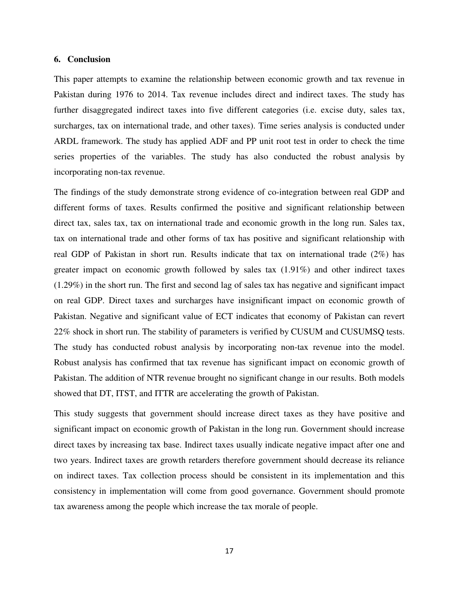#### **6. Conclusion**

This paper attempts to examine the relationship between economic growth and tax revenue in Pakistan during 1976 to 2014. Tax revenue includes direct and indirect taxes. The study has further disaggregated indirect taxes into five different categories (i.e. excise duty, sales tax, surcharges, tax on international trade, and other taxes). Time series analysis is conducted under ARDL framework. The study has applied ADF and PP unit root test in order to check the time series properties of the variables. The study has also conducted the robust analysis by incorporating non-tax revenue.

The findings of the study demonstrate strong evidence of co-integration between real GDP and different forms of taxes. Results confirmed the positive and significant relationship between direct tax, sales tax, tax on international trade and economic growth in the long run. Sales tax, tax on international trade and other forms of tax has positive and significant relationship with real GDP of Pakistan in short run. Results indicate that tax on international trade (2%) has greater impact on economic growth followed by sales tax (1.91%) and other indirect taxes (1.29%) in the short run. The first and second lag of sales tax has negative and significant impact on real GDP. Direct taxes and surcharges have insignificant impact on economic growth of Pakistan. Negative and significant value of ECT indicates that economy of Pakistan can revert 22% shock in short run. The stability of parameters is verified by CUSUM and CUSUMSQ tests. The study has conducted robust analysis by incorporating non-tax revenue into the model. Robust analysis has confirmed that tax revenue has significant impact on economic growth of Pakistan. The addition of NTR revenue brought no significant change in our results. Both models showed that DT, ITST, and ITTR are accelerating the growth of Pakistan.

This study suggests that government should increase direct taxes as they have positive and significant impact on economic growth of Pakistan in the long run. Government should increase direct taxes by increasing tax base. Indirect taxes usually indicate negative impact after one and two years. Indirect taxes are growth retarders therefore government should decrease its reliance on indirect taxes. Tax collection process should be consistent in its implementation and this consistency in implementation will come from good governance. Government should promote tax awareness among the people which increase the tax morale of people.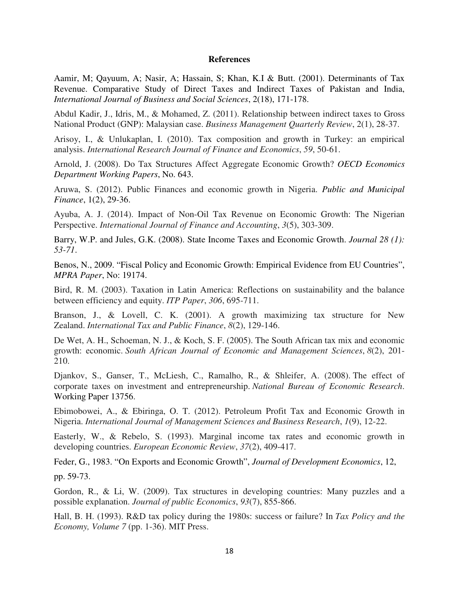## **References**

Aamir, M; Qayuum, A; Nasir, A; Hassain, S; Khan, K.I & Butt. (2001). Determinants of Tax Revenue. Comparative Study of Direct Taxes and Indirect Taxes of Pakistan and India, *International Journal of Business and Social Sciences*, 2(18), 171-178.

Abdul Kadir, J., Idris, M., & Mohamed, Z. (2011). Relationship between indirect taxes to Gross National Product (GNP): Malaysian case. *Business Management Quarterly Review*, 2(1), 28-37.

Arisoy, I., & Unlukaplan, I. (2010). Tax composition and growth in Turkey: an empirical analysis. *International Research Journal of Finance and Economics*, *59*, 50-61.

Arnold, J. (2008). Do Tax Structures Affect Aggregate Economic Growth? *OECD Economics Department Working Papers*, No. 643.

Aruwa, S. (2012). Public Finances and economic growth in Nigeria. *Public and Municipal Finance*, 1(2), 29-36.

Ayuba, A. J. (2014). Impact of Non-Oil Tax Revenue on Economic Growth: The Nigerian Perspective. *International Journal of Finance and Accounting*, *3*(5), 303-309.

Barry, W.P. and Jules, G.K. (2008). State Income Taxes and Economic Growth. *Journal 28 (1): 53-71*.

Benos, N., 2009. "Fiscal Policy and Economic Growth: Empirical Evidence from EU Countries", *MPRA Paper*, No: 19174.

Bird, R. M. (2003). Taxation in Latin America: Reflections on sustainability and the balance between efficiency and equity. *ITP Paper*, *306*, 695-711.

Branson, J., & Lovell, C. K. (2001). A growth maximizing tax structure for New Zealand. *International Tax and Public Finance*, *8*(2), 129-146.

De Wet, A. H., Schoeman, N. J., & Koch, S. F. (2005). The South African tax mix and economic growth: economic. *South African Journal of Economic and Management Sciences*, *8*(2), 201- 210.

Djankov, S., Ganser, T., McLiesh, C., Ramalho, R., & Shleifer, A. (2008). The effect of corporate taxes on investment and entrepreneurship. *National Bureau of Economic Research*. Working Paper 13756.

Ebimobowei, A., & Ebiringa, O. T. (2012). Petroleum Profit Tax and Economic Growth in Nigeria. *International Journal of Management Sciences and Business Research*, *1*(9), 12-22.

Easterly, W., & Rebelo, S. (1993). Marginal income tax rates and economic growth in developing countries. *European Economic Review*, *37*(2), 409-417.

Feder, G., 1983. "On Exports and Economic Growth", *Journal of Development Economics*, 12,

pp. 59-73.

Gordon, R., & Li, W. (2009). Tax structures in developing countries: Many puzzles and a possible explanation. *Journal of public Economics*, *93*(7), 855-866.

Hall, B. H. (1993). R&D tax policy during the 1980s: success or failure? In *Tax Policy and the Economy, Volume 7* (pp. 1-36). MIT Press.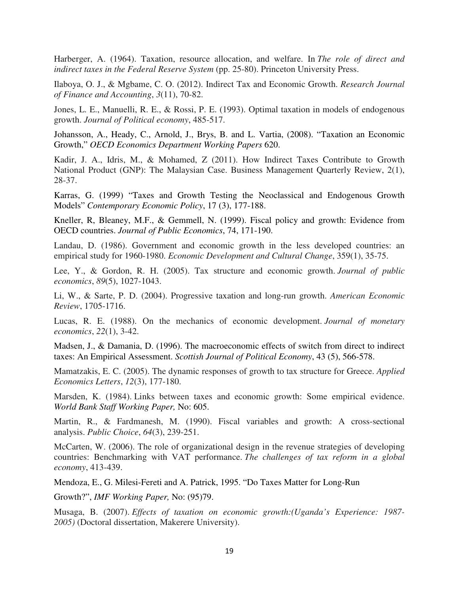Harberger, A. (1964). Taxation, resource allocation, and welfare. In *The role of direct and indirect taxes in the Federal Reserve System* (pp. 25-80). Princeton University Press.

Ilaboya, O. J., & Mgbame, C. O. (2012). Indirect Tax and Economic Growth. *Research Journal of Finance and Accounting*, *3*(11), 70-82.

Jones, L. E., Manuelli, R. E., & Rossi, P. E. (1993). Optimal taxation in models of endogenous growth. *Journal of Political economy*, 485-517.

Johansson, A., Heady, C., Arnold, J., Brys, B. and L. Vartia, (2008). "Taxation an Economic Growth," *OECD Economics Department Working Papers* 620.

Kadir, J. A., Idris, M., & Mohamed, Z (2011). How Indirect Taxes Contribute to Growth National Product (GNP): The Malaysian Case. Business Management Quarterly Review, 2(1), 28-37.

Karras, G. (1999) "Taxes and Growth Testing the Neoclassical and Endogenous Growth Models" *Contemporary Economic Policy*, 17 (3), 177-188.

Kneller, R, Bleaney, M.F., & Gemmell, N. (1999). Fiscal policy and growth: Evidence from OECD countries. *Journal of Public Economics*, 74, 171-190.

Landau, D. (1986). Government and economic growth in the less developed countries: an empirical study for 1960-1980. *Economic Development and Cultural Change*, 359(1), 35-75.

Lee, Y., & Gordon, R. H. (2005). Tax structure and economic growth. *Journal of public economics*, *89*(5), 1027-1043.

Li, W., & Sarte, P. D. (2004). Progressive taxation and long-run growth. *American Economic Review*, 1705-1716.

Lucas, R. E. (1988). On the mechanics of economic development. *Journal of monetary economics*, *22*(1), 3-42.

Madsen, J., & Damania, D. (1996). The macroeconomic effects of switch from direct to indirect taxes: An Empirical Assessment. *Scottish Journal of Political Economy*, 43 (5), 566-578.

Mamatzakis, E. C. (2005). The dynamic responses of growth to tax structure for Greece. *Applied Economics Letters*, *12*(3), 177-180.

Marsden, K. (1984). Links between taxes and economic growth: Some empirical evidence. *World Bank Staff Working Paper,* No: 605.

Martin, R., & Fardmanesh, M. (1990). Fiscal variables and growth: A cross-sectional analysis. *Public Choice*, *64*(3), 239-251.

McCarten, W. (2006). The role of organizational design in the revenue strategies of developing countries: Benchmarking with VAT performance. *The challenges of tax reform in a global economy*, 413-439.

Mendoza, E., G. Milesi-Fereti and A. Patrick, 1995. "Do Taxes Matter for Long-Run

Growth?", *IMF Working Paper,* No: (95)79.

Musaga, B. (2007). *Effects of taxation on economic growth:(Uganda's Experience: 1987- 2005)* (Doctoral dissertation, Makerere University).